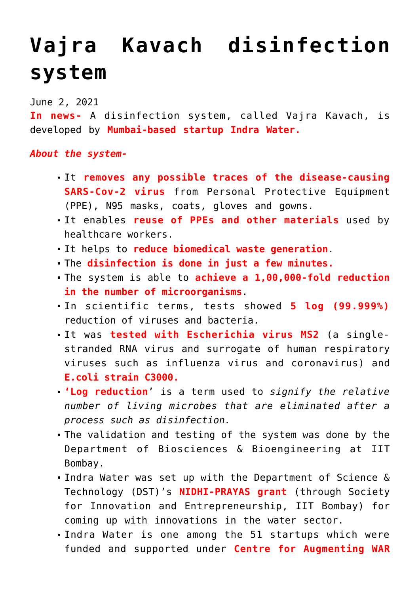## **[Vajra Kavach disinfection](https://journalsofindia.com/vajra-kavach-disinfection-system/) [system](https://journalsofindia.com/vajra-kavach-disinfection-system/)**

June 2, 2021

**In news-** A disinfection system, called Vajra Kavach, is developed by **Mumbai-based startup Indra Water.**

## *About the system-*

- It **removes any possible traces of the disease-causing SARS-Cov-2 virus** from Personal Protective Equipment (PPE), N95 masks, coats, gloves and gowns.
- It enables **reuse of PPEs and other materials** used by healthcare workers.
- It helps to **reduce biomedical waste generation**.
- The **disinfection is done in just a few minutes.**
- The system is able to **achieve a 1,00,000-fold reduction in the number of microorganisms**.
- In scientific terms, tests showed **5 log (99.999%)** reduction of viruses and bacteria.
- It was **tested with Escherichia virus MS2** (a singlestranded RNA virus and surrogate of human respiratory viruses such as influenza virus and coronavirus) and **E.coli strain C3000.**
- **'Log reduction**' is a term used to *signify the relative number of living microbes that are eliminated after a process such as disinfection.*
- The validation and testing of the system was done by the Department of Biosciences & Bioengineering at IIT Bombay.
- Indra Water was set up with the Department of Science & Technology (DST)'s **NIDHI-PRAYAS grant** (through Society for Innovation and Entrepreneurship, IIT Bombay) for coming up with innovations in the water sector.
- Indra Water is one among the 51 startups which were funded and supported under **Centre for Augmenting WAR**